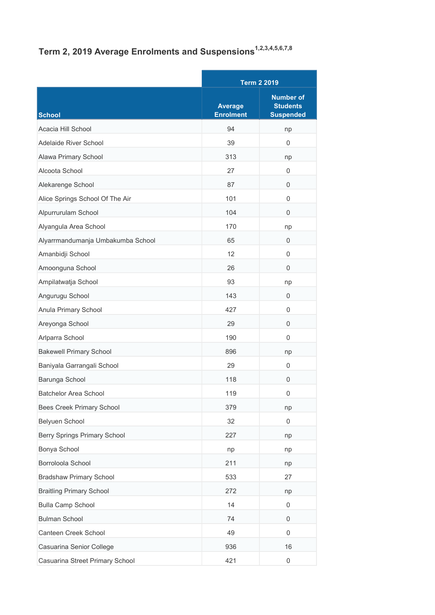## Term 2, 2019 Average Enrolments and Suspensions<sup>1,2,3,4,5,6,7,8</sup>

|                                   |                                    | <b>Term 2 2019</b>                                      |  |
|-----------------------------------|------------------------------------|---------------------------------------------------------|--|
| <b>School</b>                     | <b>Average</b><br><b>Enrolment</b> | <b>Number of</b><br><b>Students</b><br><b>Suspended</b> |  |
| Acacia Hill School                | 94                                 | np                                                      |  |
| Adelaide River School             | 39                                 | 0                                                       |  |
| Alawa Primary School              | 313                                | np                                                      |  |
| Alcoota School                    | 27                                 | $\mathbf 0$                                             |  |
| Alekarenge School                 | 87                                 | 0                                                       |  |
| Alice Springs School Of The Air   | 101                                | $\mathbf 0$                                             |  |
| Alpurrurulam School               | 104                                | 0                                                       |  |
| Alyangula Area School             | 170                                | np                                                      |  |
| Alyarrmandumanja Umbakumba School | 65                                 | 0                                                       |  |
| Amanbidji School                  | 12                                 | $\mathbf 0$                                             |  |
| Amoonguna School                  | 26                                 | $\Omega$                                                |  |
| Ampilatwatja School               | 93                                 | np                                                      |  |
| Angurugu School                   | 143                                | 0                                                       |  |
| Anula Primary School              | 427                                | $\mathbf 0$                                             |  |
| Areyonga School                   | 29                                 | $\mathbf 0$                                             |  |
| Arlparra School                   | 190                                | $\Omega$                                                |  |
| <b>Bakewell Primary School</b>    | 896                                | np                                                      |  |
| Baniyala Garrangali School        | 29                                 | 0                                                       |  |
| Barunga School                    | 118                                | 0                                                       |  |
| <b>Batchelor Area School</b>      | 119                                | $\mathbf 0$                                             |  |
| <b>Bees Creek Primary School</b>  | 379                                | np                                                      |  |
| Belyuen School                    | 32                                 | 0                                                       |  |
| Berry Springs Primary School      | 227                                | np                                                      |  |
| Bonya School                      | np                                 | np                                                      |  |
| Borroloola School                 | 211                                | np                                                      |  |
| <b>Bradshaw Primary School</b>    | 533                                | 27                                                      |  |
| <b>Braitling Primary School</b>   | 272                                | np                                                      |  |
| <b>Bulla Camp School</b>          | 14                                 | 0                                                       |  |
| <b>Bulman School</b>              | 74                                 | 0                                                       |  |
| Canteen Creek School              | 49                                 | 0                                                       |  |
| Casuarina Senior College          | 936                                | 16                                                      |  |
| Casuarina Street Primary School   | 421                                | $\boldsymbol{0}$                                        |  |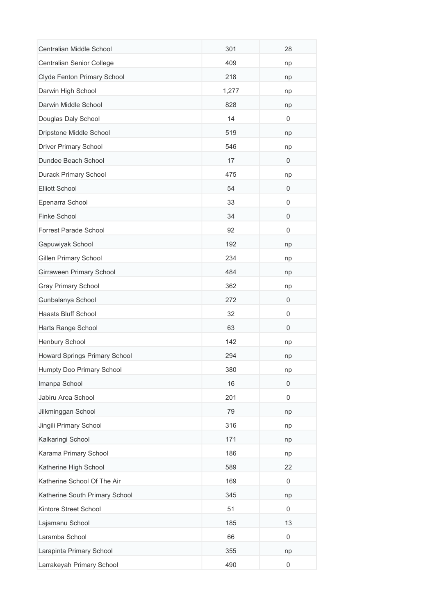| Centralian Middle School       | 301   | 28               |
|--------------------------------|-------|------------------|
| Centralian Senior College      | 409   | np               |
| Clyde Fenton Primary School    | 218   | np               |
| Darwin High School             | 1,277 | np               |
| Darwin Middle School           | 828   | np               |
| Douglas Daly School            | 14    | $\mathbf 0$      |
| Dripstone Middle School        | 519   | np               |
| <b>Driver Primary School</b>   | 546   | np               |
| Dundee Beach School            | 17    | 0                |
| Durack Primary School          | 475   | np               |
| <b>Elliott School</b>          | 54    | $\overline{0}$   |
| Epenarra School                | 33    | 0                |
| Finke School                   | 34    | 0                |
| Forrest Parade School          | 92    | 0                |
| Gapuwiyak School               | 192   | np               |
| <b>Gillen Primary School</b>   | 234   | np               |
| Girraween Primary School       | 484   | np               |
| <b>Gray Primary School</b>     | 362   | np               |
| Gunbalanya School              | 272   | 0                |
| Haasts Bluff School            | 32    | 0                |
| Harts Range School             | 63    | 0                |
| Henbury School                 | 142   | np               |
| Howard Springs Primary School  | 294   | np               |
| Humpty Doo Primary School      | 380   | np               |
| Imanpa School                  | 16    | $\mathbf 0$      |
| Jabiru Area School             | 201   | $\mathbf 0$      |
| Jilkminggan School             | 79    | np               |
| Jingili Primary School         | 316   | np               |
| Kalkaringi School              | 171   | np               |
| Karama Primary School          | 186   | np               |
| Katherine High School          | 589   | 22               |
| Katherine School Of The Air    | 169   | $\mathbf 0$      |
| Katherine South Primary School | 345   | np               |
| Kintore Street School          | 51    | $\mathbf 0$      |
| Lajamanu School                | 185   | 13               |
| Laramba School                 | 66    | $\mathbf 0$      |
| Larapinta Primary School       | 355   | np               |
| Larrakeyah Primary School      | 490   | $\boldsymbol{0}$ |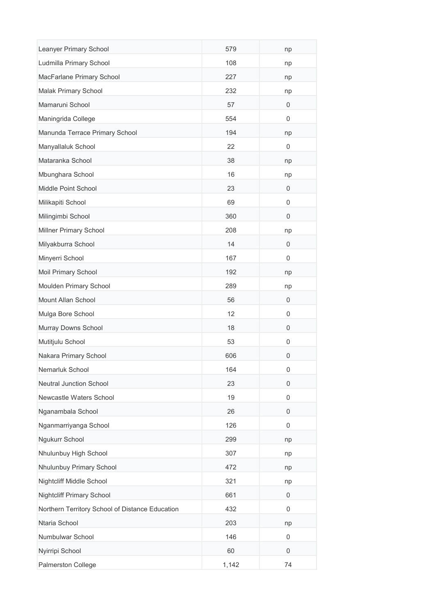| Leanyer Primary School                          | 579   | np                  |
|-------------------------------------------------|-------|---------------------|
| Ludmilla Primary School                         | 108   | np                  |
| MacFarlane Primary School                       | 227   | np                  |
| Malak Primary School                            | 232   | np                  |
| Mamaruni School                                 | 57    | 0                   |
| Maningrida College                              | 554   | 0                   |
| Manunda Terrace Primary School                  | 194   | np                  |
| Manyallaluk School                              | 22    | 0                   |
| Mataranka School                                | 38    | np                  |
| Mbunghara School                                | 16    | np                  |
| Middle Point School                             | 23    | 0                   |
| Milikapiti School                               | 69    | 0                   |
| Milingimbi School                               | 360   | $\mathbf 0$         |
| Millner Primary School                          | 208   | np                  |
| Milyakburra School                              | 14    | $\mathbf 0$         |
| Minyerri School                                 | 167   | $\Omega$            |
| Moil Primary School                             | 192   | np                  |
| Moulden Primary School                          | 289   | np                  |
| Mount Allan School                              | 56    | 0                   |
| Mulga Bore School                               | 12    | 0                   |
| Murray Downs School                             | 18    | 0                   |
| Mutitjulu School                                | 53    | 0                   |
| Nakara Primary School                           | 606   | 0                   |
| Nemarluk School                                 | 164   | $\mathsf{O}\xspace$ |
| <b>Neutral Junction School</b>                  | 23    | 0                   |
| Newcastle Waters School                         | 19    | 0                   |
| Nganambala School                               | 26    | 0                   |
| Nganmarriyanga School                           | 126   | 0                   |
| Ngukurr School                                  | 299   | np                  |
| Nhulunbuy High School                           | 307   | np                  |
| Nhulunbuy Primary School                        | 472   | np                  |
| Nightcliff Middle School                        | 321   | np                  |
| <b>Nightcliff Primary School</b>                | 661   | 0                   |
| Northern Territory School of Distance Education | 432   | 0                   |
| Ntaria School                                   | 203   | np                  |
| Numbulwar School                                | 146   | 0                   |
| Nyirripi School                                 | 60    | $\mathbf 0$         |
| Palmerston College                              | 1,142 | 74                  |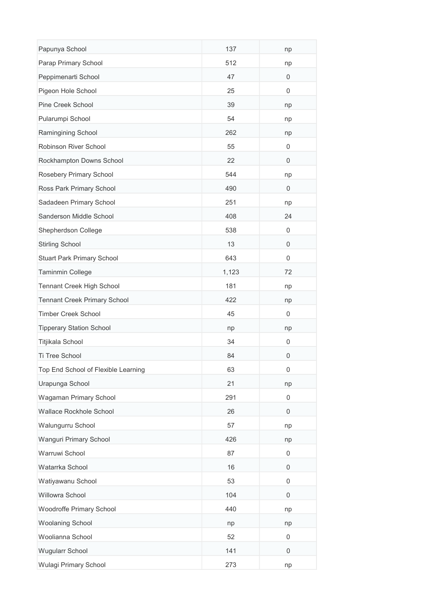| Papunya School                      | 137   | np          |
|-------------------------------------|-------|-------------|
| Parap Primary School                | 512   | np          |
| Peppimenarti School                 | 47    | 0           |
| Pigeon Hole School                  | 25    | $\mathbf 0$ |
| Pine Creek School                   | 39    | np          |
| Pularumpi School                    | 54    | np          |
| Ramingining School                  | 262   | np          |
| Robinson River School               | 55    | 0           |
| Rockhampton Downs School            | 22    | $\mathbf 0$ |
| Rosebery Primary School             | 544   | np          |
| Ross Park Primary School            | 490   | 0           |
| Sadadeen Primary School             | 251   | np          |
| Sanderson Middle School             | 408   | 24          |
| Shepherdson College                 | 538   | 0           |
| <b>Stirling School</b>              | 13    | $\mathbf 0$ |
| Stuart Park Primary School          | 643   | 0           |
| Taminmin College                    | 1,123 | 72          |
| Tennant Creek High School           | 181   | np          |
| <b>Tennant Creek Primary School</b> | 422   | np          |
| <b>Timber Creek School</b>          | 45    | 0           |
| <b>Tipperary Station School</b>     | np    | np          |
| Titjikala School                    | 34    | 0           |
| Ti Tree School                      | 84    | 0           |
| Top End School of Flexible Learning | 63    | 0           |
| Urapunga School                     | 21    | np          |
| Wagaman Primary School              | 291   | 0           |
| Wallace Rockhole School             | 26    | 0           |
| Walungurru School                   | 57    | np          |
| Wanguri Primary School              | 426   | np          |
| Warruwi School                      | 87    | 0           |
| Watarrka School                     | 16    | 0           |
| Watiyawanu School                   | 53    | 0           |
| Willowra School                     | 104   | 0           |
| Woodroffe Primary School            | 440   | np          |
| <b>Woolaning School</b>             | np    | np          |
| Woolianna School                    | 52    | 0           |
| Wugularr School                     | 141   | 0           |
| Wulagi Primary School               | 273   | np          |